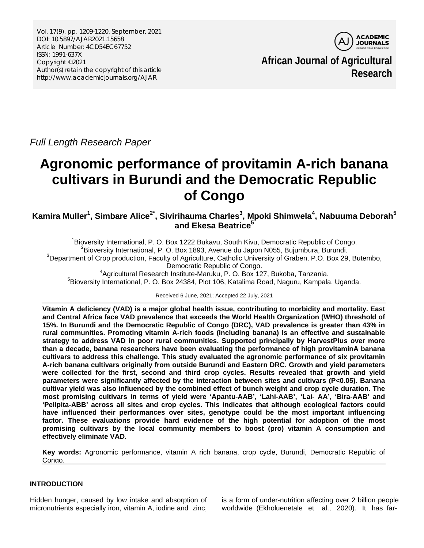Vol. 17(9), pp. 1209-1220, September, 2021 DOI: 10.5897/AJAR2021.15658 Article Number: 4CD54EC67752 ISSN: 1991-637X Copyright ©2021 Author(s) retain the copyright of this article http://www.academicjournals.org/AJAR



**African Journal of Agricultural Research**

*Full Length Research Paper*

# **Agronomic performance of provitamin A-rich banana cultivars in Burundi and the Democratic Republic of Congo**

**Kamira Muller<sup>1</sup> , Simbare Alice2\* , Sivirihauma Charles3 , Mpoki Shimwela4 , Nabuuma Deborah5 and Ekesa Beatrice5**

 $\frac{1}{1}$ Bioversity International, P. O. Box 1222 Bukavu, South Kivu, Democratic Republic of Congo.<br><sup>2</sup>Bioversity International, B. O. Box 1803, Avenue du Japon NOEE, Bujumbura, Burundi.  ${}^{2}$ Bioversity International, P. O. Box 1893, Avenue du Japon N055, Bujumbura, Burundi. <sup>3</sup>Department of Crop production, Faculty of Agriculture, Catholic University of Graben, P.O. Box 29, Butembo,<br>Democratic Republic of Congo. Democratic Republic of Congo. <sup>4</sup> Agricultural Research Institute-Maruku, P. O. Box 127, Bukoba, Tanzania. 5 Bioversity International, P. O. Box 24384, Plot 106, Katalima Road, Naguru, Kampala, Uganda.

Received 6 June, 2021; Accepted 22 July, 2021

**Vitamin A deficiency (VAD) is a major global health issue, contributing to morbidity and mortality. East and Central Africa face VAD prevalence that exceeds the World Health Organization (WHO) threshold of 15%. In Burundi and the Democratic Republic of Congo (DRC), VAD prevalence is greater than 43% in rural communities. Promoting vitamin A-rich foods (including banana) is an effective and sustainable strategy to address VAD in poor rural communities. Supported principally by HarvestPlus over more than a decade, banana researchers have been evaluating the performance of high provitaminA banana cultivars to address this challenge. This study evaluated the agronomic performance of six provitamin A-rich banana cultivars originally from outside Burundi and Eastern DRC. Growth and yield parameters were collected for the first, second and third crop cycles. Results revealed that growth and yield parameters were significantly affected by the interaction between sites and cultivars (P<0.05). Banana cultivar yield was also influenced by the combined effect of bunch weight and crop cycle duration. The most promising cultivars in terms of yield were 'Apantu-AAB', 'Lahi-AAB', 'Lai- AA', 'Bira-AAB' and 'Pelipita-ABB' across all sites and crop cycles. This indicates that although ecological factors could have influenced their performances over sites, genotype could be the most important influencing factor. These evaluations provide hard evidence of the high potential for adoption of the most promising cultivars by the local community members to boost (pro) vitamin A consumption and effectively eliminate VAD.** 

**Key words:** Agronomic performance, vitamin A rich banana, crop cycle, Burundi, Democratic Republic of Congo.

# **INTRODUCTION**

Hidden hunger, caused by low intake and absorption of micronutrients especially iron, vitamin A, iodine and zinc,

is a form of under-nutrition affecting over 2 billion people worldwide (Ekholuenetale et al., 2020). It has far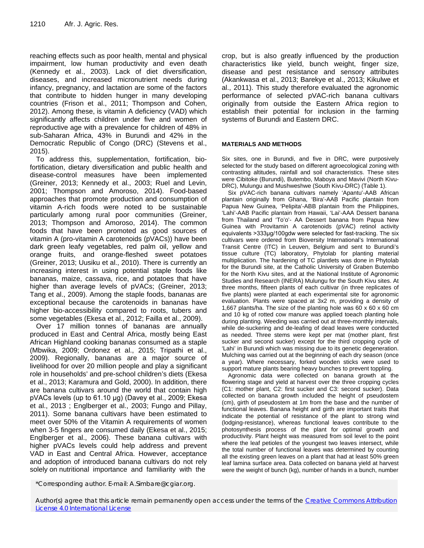reaching effects such as poor health, mental and physical impairment, low human productivity and even death (Kennedy et al., 2003). Lack of diet diversification, diseases, and increased micronutrient needs during infancy, pregnancy, and lactation are some of the factors that contribute to hidden hunger in many developing countries (Frison et al., 2011; Thompson and Cohen, 2012). Among these, is vitamin A deficiency (VAD) which significantly affects children under five and women of reproductive age with a prevalence for children of 48% in sub-Saharan Africa, 43% in Burundi and 42% in the Democratic Republic of Congo (DRC) (Stevens et al., 2015).

To address this, supplementation, fortification, biofortification, dietary diversification and public health and disease-control measures have been implemented (Greiner, 2013; Kennedy et al., 2003; Ruel and Levin, 2001; Thompson and Amoroso, 2014). Food-based approaches that promote production and consumption of vitamin A-rich foods were noted to be sustainable particularly among rural poor communities (Greiner, 2013; Thompson and Amoroso, 2014). The common foods that have been promoted as good sources of vitamin A (pro-vitamin A carotenoids (pVACs)) have been dark green leafy vegetables, red palm oil, yellow and orange fruits, and orange-fleshed sweet potatoes (Greiner, 2013; Uusiku et al., 2010). There is currently an increasing interest in using potential staple foods like bananas, maize, cassava, rice, and potatoes that have higher than average levels of pVACs; (Greiner, 2013; Tang et al., 2009). Among the staple foods, bananas are exceptional because the carotenoids in bananas have higher bio-accessibility compared to roots, tubers and some vegetables (Ekesa et al., 2012; Failla et al., 2009).

Over 17 million tonnes of bananas are annually produced in East and Central Africa, mostly being East African Highland cooking bananas consumed as a staple (Mbwika, 2009; Ordonez et al., 2015; Tripathi et al., 2009). Regionally, bananas are a major source of livelihood for over 20 million people and play a significant role in households' and pre-school children's diets (Ekesa et al., 2013; Karamura and Gold, 2000). In addition, there are banana cultivars around the world that contain high pVACs levels (up to 61.10 μg) (Davey et al., 2009; Ekesa et al., 2013 ; Englberger et al., 2003; Fungo and Pillay, 2011). Some banana cultivars have been estimated to meet over 50% of the Vitamin A requirements of women when 3-5 fingers are consumed daily (Ekesa et al., 2015; Englberger et al., 2006). These banana cultivars with higher pVACs levels could help address and prevent VAD in East and Central Africa. However, acceptance and adoption of introduced banana cultivars do not rely solely on nutritional importance and familiarity with the

crop, but is also greatly influenced by the production characteristics like yield, bunch weight, finger size, disease and pest resistance and sensory attributes (Akankwasa et al., 2013; Barekye et al., 2013; Kikulwe et al., 2011). This study therefore evaluated the agronomic performance of selected pVAC-rich banana cultivars originally from outside the Eastern Africa region to establish their potential for inclusion in the farming systems of Burundi and Eastern DRC.

#### **MATERIALS AND METHODS**

Six sites, one in Burundi, and five in DRC, were purposively selected for the study based on different agroecological zoning with contrasting altitudes, rainfall and soil characteristics. These sites were Cibitoke (Burundi), Butembo, Maboya and Mavivi (North Kivu-DRC), Mulungu and Mushweshwe (South Kivu-DRC) (Table 1).

Six pVAC-rich banana cultivars namely 'Apantu'-AAB African plantain originally from Ghana, 'Bira'-AAB Pacific plantain from Papua New Guinea, 'Pelipita'-ABB plantain from the Philippines, 'Lahi'-AAB Pacific plantain from Hawaii, 'Lai'-AAA Dessert banana from Thailand and 'To'o'- AA Dessert banana from Papua New Guinea with Provitamin A carotenoids (pVAC) retinol activity equivalents >333μg/100gdw were selected for fast-tracking. The six cultivars were ordered from Bioversity International's International Transit Centre (ITC) in Leuven, Belgium and sent to Burundi's tissue culture (TC) laboratory, Phytolab for planting material multiplication. The hardening of TC plantlets was done in Phytolab for the Burundi site, at the Catholic University of Graben Butembo for the North Kivu sites, and at the National Institute of Agronomic Studies and Research (INERA) Mulungu for the South Kivu sites. At three months, fifteen plants of each cultivar (in three replicates of five plants) were planted at each experimental site for agronomic evaluation. Plants were spaced at 3x2 m, providing a density of 1,667 plants/ha. The size of the planting hole was 60 x 60 x 60 cm and 10 kg of rotted cow manure was applied toeach planting hole during planting. Weeding was carried out at three-monthly intervals, while de-suckering and de-leafing of dead leaves were conducted as needed. Three stems were kept per mat (mother plant, first sucker and second sucker) except for the third cropping cycle of 'Lahi' in Burundi which was missing due to its genetic degeneration. Mulching was carried out at the beginning of each dry season (once a year). Where necessary, forked wooden sticks were used to support mature plants bearing heavy bunches to prevent toppling.

Agronomic data were collected on banana growth at the flowering stage and yield at harvest over the three cropping cycles (C1: mother plant, C2: first sucker and C3: second sucker). Data collected on banana growth included the height of pseudostem (cm), girth of pseudostem at 1m from the base and the number of functional leaves. Banana height and girth are important traits that indicate the potential of resistance of the plant to strong wind (lodging-resistance), whereas functional leaves contribute to the photosynthesis process of the plant for optimal growth and productivity. Plant height was measured from soil level to the point where the leaf petioles of the youngest two leaves intersect, while the total number of functional leaves was determined by counting all the existing green leaves on a plant that had at least 50% green leaf lamina surface area. Data collected on banana yield at harvest were the weight of bunch (kg), number of hands in a bunch, number

\*Corresponding author. E-mail: A.Simbare@cgiar.org.

Author(s) agree that this article remain permanently open access under the terms of the Creative Commons Attribution [License 4.0 International License](http://creativecommons.org/licenses/by/4.0/deed.en_US)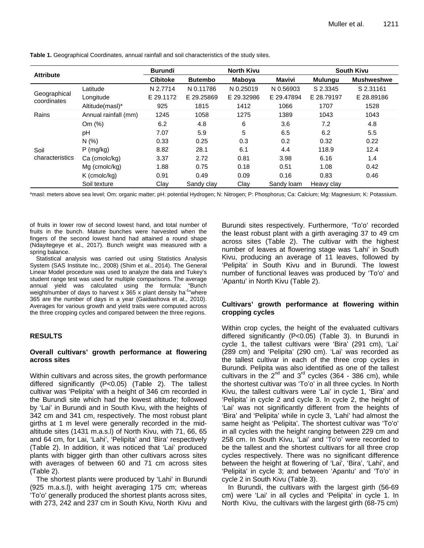| <b>Attribute</b>            |                      | <b>North Kivu</b><br><b>Burundi</b> |                |               | <b>South Kivu</b> |                |                   |
|-----------------------------|----------------------|-------------------------------------|----------------|---------------|-------------------|----------------|-------------------|
|                             |                      | <b>Cibitoke</b>                     | <b>Butembo</b> | <b>Maboya</b> | Mavivi            | <b>Mulungu</b> | <b>Mushweshwe</b> |
|                             | Latitude             | N 2.7714                            | N 0.11786      | N 0.25019     | N 0.56903         | S 2.3345       | S 2.31161         |
| Geographical<br>coordinates | Longitude            | E 29.1172                           | E 29.25869     | E 29.32986    | E 29.47894        | E 28.79197     | E 28.89186        |
|                             | Altitude(masl)*      | 925                                 | 1815           | 1412          | 1066              | 1707           | 1528              |
| Rains                       | Annual rainfall (mm) | 1245                                | 1058           | 1275          | 1389              | 1043           | 1043              |
|                             | Om (%)               | 6.2                                 | 4.8            | 6             | 3.6               | 7.2            | 4.8               |
|                             | рH                   | 7.07                                | 5.9            | 5             | 6.5               | 6.2            | 5.5               |
| Soil<br>characteristics     | N(%)                 | 0.33                                | 0.25           | 0.3           | 0.2               | 0.32           | 0.22              |
|                             | $P$ (mg/kg)          | 8.82                                | 28.1           | 6.1           | 4.4               | 118.9          | 12.4              |
|                             | Ca (cmolc/kg)        | 3.37                                | 2.72           | 0.81          | 3.98              | 6.16           | 1.4               |
|                             | Mg (cmolc/kg)        | 1.88                                | 0.75           | 0.18          | 0.51              | 1.08           | 0.42              |
|                             | $K$ (cmolc/kg)       | 0.91                                | 0.49           | 0.09          | 0.16              | 0.83           | 0.46              |
|                             | Soil texture         | Clay                                | Sandy clay     | Clay          | Sandy loam        | Heavy clay     |                   |

**Table 1.** Geographical Coordinates, annual rainfall and soil characteristics of the study sites.

\*masl: meters above sea level; Om: organic matter; pH: potential Hydrogen; N: Nitrogen; P: Phosphorus; Ca: Calcium; Mg: Magnesium; K: Potassium.

of fruits in lower row of second lowest hand, and total number of fruits in the bunch. Mature bunches were harvested when the fingers of the second lowest hand had attained a round shape (Ndayitegeye et al., 2017). Bunch weight was measured with a spring balance.

Statistical analysis was carried out using Statistics Analysis System (SAS Institute Inc., 2008) (Shim et al., 2014). The General Linear Model procedure was used to analyze the data and Tukey's student range test was used for multiple comparisons. The average annual yield was calculated using the formula: "Bunch weight/number of days to harvest x 365 x plant density ha<sup>-1</sup>"where 365 are the number of days in a year (Gaidashova et al., 2010). Averages for various growth and yield traits were computed across the three cropping cycles and compared between the three regions.

# **RESULTS**

# **Overall cultivars' growth performance at flowering across sites**

Within cultivars and across sites, the growth performance differed significantly (P<0.05) (Table 2). The tallest cultivar was 'Pelipita' with a height of 346 cm recorded in the Burundi site which had the lowest altitude; followed by 'Lai' in Burundi and in South Kivu, with the heights of 342 cm and 341 cm, respectively. The most robust plant girths at 1 m level were generally recorded in the midaltitude sites (1431 m.a.s.l) of North Kivu, with 71, 66, 65 and 64 cm, for Lai, 'Lahi', 'Pelipita' and 'Bira' respectively (Table 2). In addition, it was noticed that 'Lai' produced plants with bigger girth than other cultivars across sites with averages of between 60 and 71 cm across sites (Table 2).

The shortest plants were produced by 'Lahi' in Burundi (925 m.a.s.l), with height averaging 175 cm; whereas 'To'o' generally produced the shortest plants across sites, with 273, 242 and 237 cm in South Kivu, North Kivu and

Burundi sites respectively. Furthermore, 'To'o' recorded the least robust plant with a girth averaging 37 to 49 cm across sites (Table 2). The cultivar with the highest number of leaves at flowering stage was 'Lahi' in South Kivu, producing an average of 11 leaves, followed by 'Pelipita' in South Kivu and in Burundi. The lowest number of functional leaves was produced by 'To'o' and 'Apantu' in North Kivu (Table 2).

# **Cultivars' growth performance at flowering within cropping cycles**

Within crop cycles, the height of the evaluated cultivars differed significantly (P<0.05) (Table 3). In Burundi in cycle 1, the tallest cultivars were 'Bira' (291 cm), 'Lai' (289 cm) and 'Pelipita' (290 cm). 'Lai' was recorded as the tallest cultivar in each of the three crop cycles in Burundi. Pelipita was also identified as one of the tallest cultivars in the  $2^{nd}$  and  $3^{rd}$  cycles (364 - 386 cm), while the shortest cultivar was 'To'o' in all three cycles. In North Kivu, the tallest cultivars were 'Lai' in cycle 1, 'Bira' and 'Pelipita' in cycle 2 and cycle 3. In cycle 2, the height of 'Lai' was not significantly different from the heights of 'Bira' and 'Pelipita' while in cycle 3, 'Lahi' had almost the same height as 'Pelipita'. The shortest cultivar was 'To'o' in all cycles with the height ranging between 229 cm and 258 cm. In South Kivu, 'Lai' and 'To'o' were recorded to be the tallest and the shortest cultivars for all three crop cycles respectively. There was no significant difference between the height at flowering of 'Lai', 'Bira', 'Lahi', and 'Pelipita' in cycle 3; and between 'Apantu' and 'To'o' in cycle 2 in South Kivu (Table 3).

In Burundi, the cultivars with the largest girth (56-69 cm) were 'Lai' in all cycles and 'Pelipita' in cycle 1. In North Kivu, the cultivars with the largest girth (68-75 cm)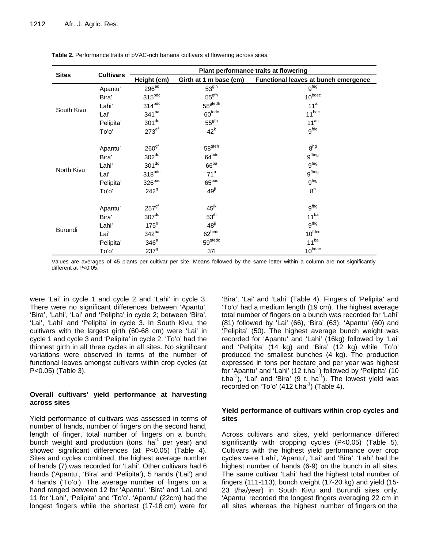|              | <b>Cultivars</b> | Plant performance traits at flowering |                        |                                      |  |  |  |  |
|--------------|------------------|---------------------------------------|------------------------|--------------------------------------|--|--|--|--|
| <b>Sites</b> |                  | Height (cm)                           | Girth at 1 m base (cm) | Functional leaves at bunch emergence |  |  |  |  |
|              | 'Apantu'         | 296 <sup>ed</sup>                     | 53 <sup>gih</sup>      | 9 <sup>feg</sup>                     |  |  |  |  |
|              | 'Bira'           | $315^{bdc}$                           | 55 <sup>gfh</sup>      | $10^{bdec}$                          |  |  |  |  |
|              | 'Lahi'           | $314^{bdc}$                           | 58 <sup>gfedh</sup>    | 11 <sup>a</sup>                      |  |  |  |  |
| South Kivu   | 'Lai'            | 341ba                                 | $60^{\text{fedc}}$     | 11 <sup>bac</sup>                    |  |  |  |  |
|              | 'Pelipita'       | $301^{dc}$                            | 55 <sup>gfh</sup>      | $11^{ac}$                            |  |  |  |  |
|              | 'To'o'           | 273 <sup>ef</sup>                     | $42^k$                 | gfde                                 |  |  |  |  |
|              | 'Apantu'         | 260 <sup>gt</sup>                     | $58^{\sf gfeh}$        | 8 <sup>hg</sup>                      |  |  |  |  |
|              | 'Bira'           | $302^{dc}$                            | $64^{bdc}$             | gfheg                                |  |  |  |  |
|              | 'Lahi'           | $301^{dc}$                            | $66^{ba}$              | gfeg                                 |  |  |  |  |
| North Kivu   | 'Lai'            | $318^{bdc}$                           | 71 <sup>a</sup>        | gfheg                                |  |  |  |  |
|              | 'Pelipita'       | 326bac                                | $65^{bac}$             | gfeg                                 |  |  |  |  |
|              | 'To'o'           | $242^9$                               | $49^{ji}$              | 8 <sup>h</sup>                       |  |  |  |  |
|              | 'Apantu'         | 257 <sup>gt</sup>                     | $45^{jk}$              | 9 <sup>fhg</sup>                     |  |  |  |  |
|              | 'Bira'           | 307 <sup>dc</sup>                     | 53 <sup>ih</sup>       | 11 <sup>ba</sup>                     |  |  |  |  |
|              | 'Lahi'           | $175^h$                               | $48^{ji}$              | g <sup>fhg</sup>                     |  |  |  |  |
| Burundi      | 'Lai'            | 342 <sup>ba</sup>                     | 62 <sup>bedc</sup>     | 10 <sup>fdec</sup>                   |  |  |  |  |
|              | 'Pelipita'       | $346^a$                               | 59 <sup>gfedc</sup>    | 11 <sup>ba</sup>                     |  |  |  |  |
|              | 'To'o'           | $237^9$                               | 371                    | $10^{b\textrm{dac}}$                 |  |  |  |  |

**Table 2.** Performance traits of pVAC-rich banana cultivars at flowering across sites.

Values are averages of 45 plants per cultivar per site. Means followed by the same letter within a column are not significantly different at P<0.05.

were 'Lai' in cycle 1 and cycle 2 and 'Lahi' in cycle 3. There were no significant differences between 'Apantu', 'Bira', 'Lahi', 'Lai' and 'Pelipita' in cycle 2; between 'Bira', 'Lai', 'Lahi' and 'Pelipita' in cycle 3. In South Kivu, the cultivars with the largest girth (60-68 cm) were 'Lai' in cycle 1 and cycle 3 and 'Pelipita' in cycle 2. 'To'o' had the thinnest girth in all three cycles in all sites. No significant variations were observed in terms of the number of functional leaves amongst cultivars within crop cycles (at P<0.05) (Table 3).

# **Overall cultivars' yield performance at harvesting across sites**

Yield performance of cultivars was assessed in terms of number of hands, number of fingers on the second hand, length of finger, total number of fingers on a bunch, bunch weight and production (tons.  $ha^{-1}$  per year) and showed significant differences (at P<0.05) (Table 4). Sites and cycles combined, the highest average number of hands (7) was recorded for 'Lahi'. Other cultivars had 6 hands ('Apantu', 'Bira' and 'Pelipita'), 5 hands ('Lai') and 4 hands ('To'o'). The average number of fingers on a hand ranged between 12 for 'Apantu', 'Bira' and 'Lai, and 11 for 'Lahi', 'Pelipita' and 'To'o'. 'Apantu' (22cm) had the longest fingers while the shortest (17-18 cm) were for

'Bira', 'Lai' and 'Lahi' (Table 4). Fingers of 'Pelipita' and 'To'o' had a medium length (19 cm). The highest average total number of fingers on a bunch was recorded for 'Lahi' (81) followed by 'Lai' (66), 'Bira' (63), 'Apantu' (60) and 'Pelipita' (50). The highest average bunch weight was recorded for 'Apantu' and 'Lahi' (16kg) followed by 'Lai' and 'Pelipita' (14 kg) and 'Bira' (12 kg) while 'To'o' produced the smallest bunches (4 kg). The production expressed in tons per hectare and per year was highest for 'Apantu' and 'Lahi' (12 t.ha<sup>-1</sup>) followed by 'Pelipita' (10 t.ha $^{-1}$ ), 'Lai' and 'Bira' (9 t. ha $^{-1}$ ). The lowest yield was recorded on 'To'o' (412 t.ha $^{-1}$ ) (Table 4).

### **Yield performance of cultivars within crop cycles and sites**

Across cultivars and sites, yield performance differed significantly with cropping cycles (P<0.05) (Table 5). Cultivars with the highest yield performance over crop cycles were 'Lahi', 'Apantu', 'Lai' and 'Bira'. 'Lahi' had the highest number of hands (6-9) on the bunch in all sites. The same cultivar 'Lahi' had the highest total number of fingers (111-113), bunch weight (17-20 kg) and yield (15- 23 t/ha/year) in South Kivu and Burundi sites only. 'Apantu' recorded the longest fingers averaging 22 cm in all sites whereas the highest number of fingers on the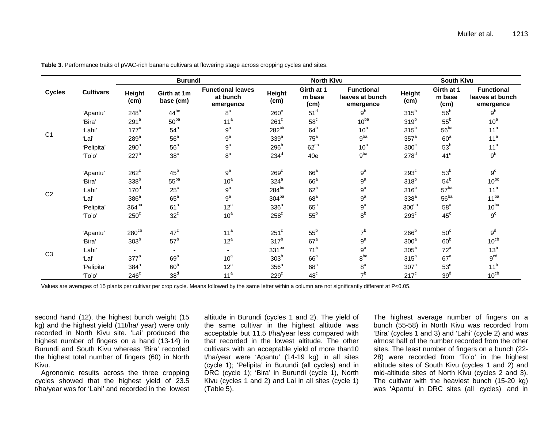|                |                  | <b>Burundi</b>    |                          |                                                   |                   | <b>North Kivu</b>            |                                                   | <b>South Kivu</b>     |                                           |                                                   |
|----------------|------------------|-------------------|--------------------------|---------------------------------------------------|-------------------|------------------------------|---------------------------------------------------|-----------------------|-------------------------------------------|---------------------------------------------------|
| <b>Cycles</b>  | <b>Cultivars</b> | Height<br>(cm)    | Girth at 1m<br>base (cm) | <b>Functional leaves</b><br>at bunch<br>emergence | Height<br>(cm)    | Girth at 1<br>m base<br>(cm) | <b>Functional</b><br>leaves at bunch<br>emergence | <b>Height</b><br>(cm) | Girth at 1<br>m base<br>(c <sub>m</sub> ) | <b>Functional</b><br>leaves at bunch<br>emergence |
|                | 'Apantu'         | $248^b$           | $44^{bc}$                | 8 <sup>a</sup>                                    | $260^\circ$       | $51^d$                       | 9 <sup>b</sup>                                    | $315^b$               | 56 <sup>b</sup>                           | 9 <sup>b</sup>                                    |
|                | 'Bira'           | $291^a$           | 50 <sup>ba</sup>         | 11 <sup>a</sup>                                   | $261^{\circ}$     | $58^{\circ}$                 | 10 <sup>ba</sup>                                  | 319 <sup>b</sup>      | 55 <sup>b</sup>                           | 10 <sup>a</sup>                                   |
|                | 'Lahi'           | $177^{\circ}$     | $54^{\circ}$             | $9^a$                                             | $282^{\text{cb}}$ | $64^b$                       | 10 <sup>a</sup>                                   | 315 <sup>b</sup>      | $56^{ba}$                                 | 11 <sup>a</sup>                                   |
| C <sub>1</sub> | 'Lai'            | $289^a$           | 56 <sup>a</sup>          | $9^a$                                             | 339 <sup>a</sup>  | $75^a$                       | 9 <sup>ba</sup>                                   | $357^a$               | 60 <sup>a</sup>                           | 11 <sup>a</sup>                                   |
|                | 'Pelipita'       | $290^a$           | $56^{\circ}$             | $9^a$                                             | 296 <sup>b</sup>  | 62 <sup>cb</sup>             | 10 <sup>a</sup>                                   | $300^\circ$           | 53 <sup>b</sup>                           | 11 <sup>a</sup>                                   |
|                | 'To'o'           | $227^b$           | $38^{\circ}$             | $8^a$                                             | $234^d$           | 40e                          | 9 <sup>ba</sup>                                   | $278^d$               | 41 <sup>c</sup>                           | $9^{\rm b}$                                       |
|                | 'Apantu'         | $262^{\circ}$     | $45^{\rm b}$             | $9^a$                                             | $269^\circ$       | 66 <sup>a</sup>              | $9^a$                                             | $293^{\circ}$         | 53 <sup>b</sup>                           | $9^{\circ}$                                       |
|                | 'Bira'           | 338 <sup>b</sup>  | 55 <sup>ba</sup>         | 10 <sup>a</sup>                                   | $324^a$           | 66 <sup>a</sup>              | $9^a$                                             | 318 <sup>b</sup>      | 54 <sup>b</sup>                           | $10^{bc}$                                         |
|                | 'Lahi'           | 170 <sup>d</sup>  | $25^{\circ}$             | $9^a$                                             | $284^{bc}$        | $62^a$                       | $9^a$                                             | 316 <sup>b</sup>      | 57 <sup>ba</sup>                          | 11 <sup>a</sup>                                   |
| C <sub>2</sub> | 'Lai'            | 386 <sup>a</sup>  | $65^{\circ}$             | 9 <sup>a</sup>                                    | 304 <sup>ba</sup> | 68 <sup>a</sup>              | $9^a$                                             | 338 <sup>a</sup>      | 56 <sup>ba</sup>                          | 11 <sup>ba</sup>                                  |
|                | 'Pelipita'       | $364^{ba}$        | 61 <sup>a</sup>          | $12^a$                                            | 336 <sup>a</sup>  | $65^{\circ}$                 | $9^a$                                             | 300 <sup>cb</sup>     | 58 <sup>a</sup>                           | 10 <sup>ba</sup>                                  |
|                | 'To'o'           | $250^{\circ}$     | $32^{\circ}$             | 10 <sup>a</sup>                                   | $258^{\circ}$     | $55^{\rm b}$                 | $8^{\rm b}$                                       | $293^{\circ}$         | $45^{\circ}$                              | $9^{\circ}$                                       |
|                | 'Apantu'         | 280 <sup>cb</sup> | $47^{\circ}$             | 11 <sup>a</sup>                                   | $251^{\circ}$     | $55^{\rm b}$                 | 7 <sup>b</sup>                                    | 266 <sup>b</sup>      | $50^{\circ}$                              | 9 <sup>d</sup>                                    |
|                | 'Bira'           | 303 <sup>b</sup>  | 57 <sup>b</sup>          | $12^a$                                            | 317 <sup>b</sup>  | 67 <sup>a</sup>              | $9^a$                                             | 300 <sup>a</sup>      | 60 <sup>b</sup>                           | 10 <sup>cb</sup>                                  |
|                | 'Lahi'           |                   | $\overline{\phantom{a}}$ | $\overline{\phantom{a}}$                          | 331 <sup>ba</sup> | 71 <sup>a</sup>              | $9^a$                                             | $305^a$               | 72 <sup>a</sup>                           | 13 <sup>a</sup>                                   |
| C <sub>3</sub> | 'Lai'            | $377^a$           | 69 <sup>a</sup>          | 10 <sup>a</sup>                                   | 303 <sup>b</sup>  | $66^{\circ}$                 | $8^{ba}$                                          | $315^a$               | 67 <sup>a</sup>                           | 9 <sup>cd</sup>                                   |
|                | 'Pelipita'       | $384^a$           | 60 <sup>b</sup>          | $12^a$                                            | 356 <sup>a</sup>  | 68 <sup>a</sup>              | $8^{\rm a}$                                       | 307 <sup>a</sup>      | $53^{\circ}$                              | 11 <sup>b</sup>                                   |
|                | 'To'o'           | $246^\circ$       | 38 <sup>d</sup>          | 11 <sup>a</sup>                                   | $229^\circ$       | $48^\circ$                   | 7 <sup>b</sup>                                    | $217^{\circ}$         | 39 <sup>d</sup>                           | 10 <sup>cb</sup>                                  |

**Table 3.** Performance traits of pVAC-rich banana cultivars at flowering stage across cropping cycles and sites.

Values are averages of 15 plants per cultivar per crop cycle. Means followed by the same letter within a column are not significantly different at P<0.05.

second hand (12), the highest bunch weight (15 kg) and the highest yield (11t/ha/ year) were only recorded in North Kivu site. 'Lai' produced the highest number of fingers on a hand (13-14) in Burundi and South Kivu whereas 'Bira' recorded the highest total number of fingers (60) in North Kivu.

Agronomic results across the three cropping cycles showed that the highest yield of 23.5 t/ha/year was for 'Lahi' and recorded in the lowest

altitude in Burundi (cycles 1 and 2). The yield of the same cultivar in the highest altitude was acceptable but 11.5 t/ha/year less compared with that recorded in the lowest altitude. The other cultivars with an acceptable yield of more than10 t/ha/year were 'Apantu' (14-19 kg) in all sites (cycle 1); 'Pelipita' in Burundi (all cycles) and in DRC (cycle 1); 'Bira' in Burundi (cycle 1), North Kivu (cycles 1 and 2) and Lai in all sites (cycle 1) (Table 5).

The highest average number of fingers on a bunch (55-58) in North Kivu was recorded from 'Bira' (cycles 1 and 3) and 'Lahi' (cycle 2) and was almost half of the number recorded from the other sites. The least number of fingers on a bunch (22- 28) were recorded from 'To'o' in the highest altitude sites of South Kivu (cycles 1 and 2) and mid-altitude sites of North Kivu (cycles 2 and 3). The cultivar with the heaviest bunch (15-20 kg) was 'Apantu' in DRC sites (all cycles) and in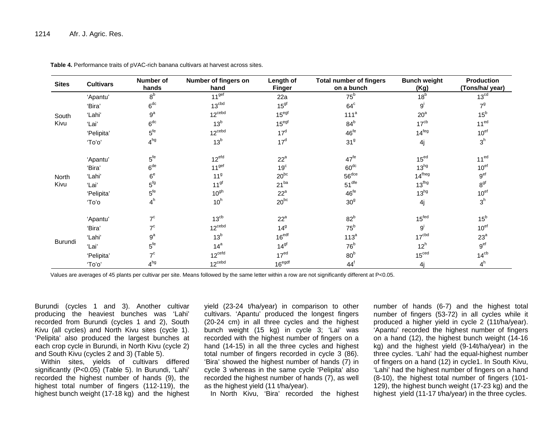| <b>Sites</b> | <b>Cultivars</b> | Number of<br>hands | Number of fingers on<br>hand | Length of<br><b>Finger</b> | <b>Total number of fingers</b><br>on a bunch | <b>Bunch weight</b><br>(Kg) | <b>Production</b><br>(Tons/ha/ year) |
|--------------|------------------|--------------------|------------------------------|----------------------------|----------------------------------------------|-----------------------------|--------------------------------------|
|              | 'Apantu'         | 8 <sup>b</sup>     | 11 <sup>get</sup>            | 22a                        | $75^{\rm b}$                                 | 18 <sup>b</sup>             | 13 <sup>cd</sup>                     |
|              | 'Bira'           | 6 <sup>dc</sup>    | 13 <sup>cbd</sup>            | 15 <sup>gf</sup>           | $64^{\circ}$                                 | $9^{i}$                     | 7 <sup>9</sup>                       |
| South        | 'Lahi'           | $9^a$              | $12^{\text{cebd}}$           | 15 <sup>egt</sup>          | 111 <sup>a</sup>                             | $20^a$                      | $15^{\rm b}$                         |
| Kivu         | 'Lai'            | 6 <sup>dc</sup>    | 13 <sup>b</sup>              | 15 <sup>egt</sup>          | $84^b$                                       | 17 <sup>cb</sup>            | 11 <sup>ed</sup>                     |
|              | 'Pelipita'       | $5^{\text{fe}}$    | $12^{\text{cebd}}$           | 17 <sup>d</sup>            | 46 <sup>fe</sup>                             | 14 <sup>feg</sup>           | 10 <sup>ef</sup>                     |
|              | 'To'o'           | 4 <sup>hg</sup>    | 13 <sup>b</sup>              | 17 <sup>d</sup>            | 31 <sup>9</sup>                              | 4j                          | 3 <sup>h</sup>                       |
|              | 'Apantu'         | $5^{\text{fe}}$    | 12 <sup>efd</sup>            | $22^a$                     | 47 <sup>fe</sup>                             | 15 <sup>ed</sup>            | 11 <sup>ed</sup>                     |
|              | 'Bira'           | 6 <sup>de</sup>    | 11 <sup>get</sup>            | 19 <sup>c</sup>            | 60 <sup>dc</sup>                             | $13^{hg}$                   | 10 <sup>ef</sup>                     |
| North        | 'Lahi'           | $6^{\rm e}$        | 11 <sup>9</sup>              | $20^{bc}$                  | 56 <sup>dce</sup>                            | 14theg                      | 9 <sup>ef</sup>                      |
| Kivu         | 'Lai'            | 5 <sup>fg</sup>    | 11 <sup>gf</sup>             | 21 <sup>ba</sup>           | 51 <sup>dfe</sup>                            | 13 <sup>fhg</sup>           | 8 <sup>gt</sup>                      |
|              | 'Pelipita'       | $5^{\rm fe}$       | 10 <sup>gh</sup>             | $22^a$                     | $46^{fe}$                                    | $13^{hg}$                   | 10 <sup>ef</sup>                     |
|              | OʻoTʻ            | 4 <sup>h</sup>     | 10 <sup>h</sup>              | $20^{bc}$                  | 30 <sup>9</sup>                              | 4j                          | 3 <sup>h</sup>                       |
|              | 'Apantu'         | $7^{\circ}$        | 13 <sup>cb</sup>             | $22^a$                     | 82 <sup>b</sup>                              | 15 <sup>fed</sup>           | $15^{\rm b}$                         |
|              | 'Bira'           | 7 <sup>c</sup>     | $12^{\text{cebd}}$           | 14 <sup>9</sup>            | $75^{\rm b}$                                 | $9^{i}$                     | 10 <sup>ef</sup>                     |
|              | 'Lahi'           | $9^a$              | 13 <sup>b</sup>              | 16 <sup>edf</sup>          | 113 <sup>a</sup>                             | 17 <sup>cbd</sup>           | $23^a$                               |
| Burundi      | 'Lai'            | $5^{\text{fe}}$    | 14 <sup>a</sup>              | 14 <sup>gf</sup>           | 76 <sup>b</sup>                              | $12^h$                      | 9 <sup>ef</sup>                      |
|              | 'Pelipita'       | 7 <sup>c</sup>     | $12^{\text{cefd}}$           | 17 <sup>ed</sup>           | 80 <sup>b</sup>                              | 15 <sup>ced</sup>           | 14 <sup>cb</sup>                     |
|              | 'To'o'           | 4 <sup>hg</sup>    | $12^{\text{cebd}}$           | 16 <sup>egdf</sup>         | 44 <sup>1</sup>                              | 4j                          | 4 <sup>h</sup>                       |

**Table 4.** Performance traits of pVAC-rich banana cultivars at harvest across sites.

Values are averages of 45 plants per cultivar per site. Means followed by the same letter within a row are not significantly different at P<0.05.

Burundi (cycles 1 and 3). Another cultivar producing the heaviest bunches was 'Lahi' recorded from Burundi (cycles 1 and 2), South Kivu (all cycles) and North Kivu sites (cycle 1). 'Pelipita' also produced the largest bunches at each crop cycle in Burundi, in North Kivu (cycle 2) and South Kivu (cycles 2 and 3) (Table 5).

Within sites, yields of cultivars differed significantly (P<0.05) (Table 5). In Burundi, 'Lahi' recorded the highest number of hands (9), the highest total number of fingers (112-119), the highest bunch weight (17-18 kg) and the highest yield (23-24 t/ha/year) in comparison to other cultivars. 'Apantu' produced the longest fingers (20-24 cm) in all three cycles and the highest bunch weight (15 kg) in cycle 3; 'Lai' was recorded with the highest number of fingers on a hand (14-15) in all the three cycles and highest total number of fingers recorded in cycle 3 (86). 'Bira' showed the highest number of hands (7) in cycle 3 whereas in the same cycle 'Pelipita' also recorded the highest number of hands (7), as well as the highest yield (11 t/ha/year).

In North Kivu, 'Bira' recorded the highest

number of hands (6-7) and the highest total number of fingers (53-72) in all cycles while it produced a higher yield in cycle 2 (11t/ha/year). 'Apantu' recorded the highest number of fingers on a hand (12), the highest bunch weight (14-16 kg) and the highest yield (9-14t/ha/year) in the three cycles. 'Lahi' had the equal-highest number of fingers on a hand (12) in cycle1. In South Kivu, 'Lahi' had the highest number of fingers on a hand (8-10), the highest total number of fingers (101- 129), the highest bunch weight (17-23 kg) and the highest yield (11-17 t/ha/year) in the three cycles.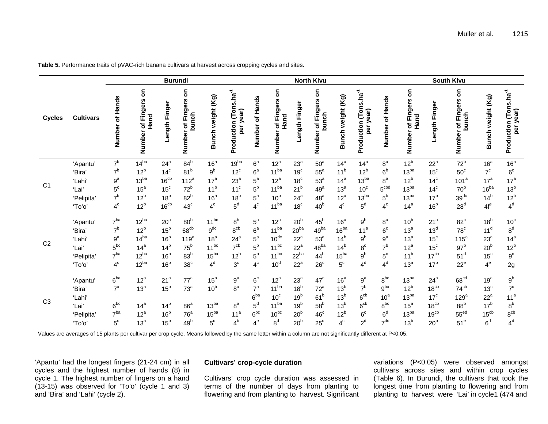**Burundi North Kivu South Kivu Number of Fingers on Number of Fingers on Number of Fingers on Number of Fingers on Number of Fingers on Number of Fingers on**   $\overline{\mathsf{o}}$  $\mathbf{s}$  $\overline{\bf{5}}$ δ  $\overline{\mathsf{o}}$  $\mathbf{s}$ Production (Tons.ha<sup>-1</sup><br>per year) **Production (Tons.ha-1** Production (Tons.ha<sup>-1</sup> **Production (Tons.ha-1** Production (Tons.ha<sup>-1</sup> **Production (Tons.ha-1** Bunch weight (Kg) Bunch weight (Kg) Bunch weight (Kg) **Bunch weight (Kg) Bunch weight (Kg) Bunch weight (Kg)** of Hands **bunch** Number of Hands Number of Hands **Number of Hands Number of Hands Number of Hands** of Fingers Number of Fingers of Fingers Number of Fingers **Number of Fingers**<br>bunch Length Finger Length Finger **Length Finger Length Finger** Length Finger **Length Finger per year) per year) bunch Hand Hand Hand Cycles Cultivars** Number Number Number Number 'Apantu' 7<sup>b</sup> 14<sup>ba</sup> 24<sup>a</sup> 84<sup>b</sup> 16<sup>a</sup> 19<sup>ba</sup> 6<sup>a</sup> 12<sup>a</sup> 23<sup>a</sup> 50<sup>a</sup> 14<sup>a</sup> 14<sup>a</sup> 8<sup>a</sup> 12<sup>b</sup> 22<sup>a</sup> 72<sup>b</sup> 16<sup>a</sup> 16<sup>a</sup> 'Bira' 7<sup>b</sup> 12<sup>b</sup> 14<sup>c</sup> 81<sup>b</sup> 9<sup>b</sup> 12<sup>c</sup> 6<sup>a</sup> 11<sup>ba</sup> 19<sup>c</sup> 55<sup>a</sup> 11<sup>b</sup> 12<sup>b</sup> 6<sup>b</sup> 13<sup>ba</sup> 15<sup>c</sup> 50<sup>c</sup> 7<sup>c</sup> 6<sup>c</sup> 'Lahi' 13<sup>ba</sup> 16<sup>cb</sup> 112<sup>a</sup> 23<sup>a</sup> 5<sup>a</sup> 12<sup>c</sup> 14<sup>a</sup> 13<sup>ba</sup> 8<sup>a</sup> 12<sup>b</sup> 14<sup>c</sup> 101<sup>a</sup> 17<sup>a</sup> 17<sup>a</sup> C1 'Lai' 5 $^{\rm c}$  15 $^{\rm a}$  15 $^{\rm c}$  72 $^{\rm b}$  11 $^{\rm b}$  11 $^{\rm c}$  5 $^{\rm b}$  13 $^{\rm b}$  13 $^{\rm b}$  10 $^{\rm c}$  5 $^{\rm c}$  13 $^{\rm b}$  16 $^{\rm b}$  15 $^{\rm b}$  16 $^{\rm b}$  13 $^{\rm b}$ 'Pelipita' 7<sup>b</sup> 12<sup>b</sup> 18<sup>b</sup> 82<sup>b</sup> 16<sup>a</sup> 18<sup>b</sup> 5<sup>a</sup> 10<sup>b</sup> 24<sup>a</sup> 48<sup>a</sup> 12<sup>a</sup> 13<sup>ba</sup> 5<sup>b</sup> 13<sup>ba</sup> 17<sup>b</sup> 39<sup>dc</sup> 14<sup>b</sup> 12<sup>b</sup> 'To'o' 4<sup>c</sup> 12<sup>b</sup> 16<sup>cb</sup> 43<sup>c</sup> 4<sup>c</sup> 5<sup>d</sup> 4<sup>c</sup> 11<sup>ba</sup> 18<sup>c</sup> 40<sup>b</sup> 4<sup>c</sup> 4<sup>c</sup> 14<sup>a</sup> 16<sup>b</sup> 28<sup>d</sup> 4f<sup>e</sup> 4<sup>d</sup> 'Apantu' 7<sup>ba</sup> 12<sup>ba</sup> 20<sup>a</sup> 80<sup>b</sup> 11<sup>bc</sup> 8<sup>b</sup> 5<sup>a</sup> 12<sup>a</sup> 20<sup>b</sup> 45<sup>b</sup> 16<sup>a gb</sup> 8<sup>a</sup> 10<sup>b</sup> 21<sup>a</sup> 82<sup>c</sup> 18<sup>b</sup> 10<sup>c</sup> 'Bira' 7b 12b 15b 68cb 9dc 8cb 6a 11ba 20ba 49ba 16ba 11a 6c 13a 13d 78c 11d 8d 'Lahi' 9a 14ba 16b 119a 18a 24a 5a 10dc 22a 53a 14b 9b 9a 13a 15c 115a 23a 14a  $C<sub>2</sub>$ 'Lai' 5 $^{\rm bc}$  14<sup>a</sup> 14<sup>b</sup> 75<sup>b</sup> 11<sup>bc</sup> 7<sup>cb</sup> 5<sup>b</sup> 11<sup>bc</sup> 22<sup>a</sup> 48<sup>ba</sup> 14<sup>b</sup> 8<sup>c</sup> 7<sup>b</sup> 12<sup>6</sup> 15<sup>c</sup> 97<sup>b</sup> 20<sup>b</sup> 12<sup>b</sup> 'Pelipita' 7<sup>ba</sup> 12<sup>ba</sup> 16<sup>b</sup> 83<sup>b</sup> 15<sup>ba</sup> 12<sup>b</sup> 5<sup>b</sup> 11<sup>bc</sup> 22<sup>ba</sup> 44<sup>b</sup> 15<sup>ba gb</sup> 5<sup>c</sup> 11<sup>b</sup> 17<sup>cb</sup> 51<sup>d</sup> 15<sup>c</sup> 9<sup>c</sup> 'To'o' 4<sup>c</sup> 12<sup>ba</sup> 16<sup>b</sup> 38<sup>c</sup> 4<sup>d</sup> 3<sup>c</sup> 4<sup>c</sup> 10<sup>d</sup> 22<sup>a</sup> 26<sup>c</sup> 5<sup>c</sup> 4<sup>d</sup> 4<sup>d</sup> 13<sup>a</sup> 17<sup>b</sup> 22<sup>e</sup> 4<sup>e</sup> 2g 'Apantu' 6<sup>ba</sup> 12<sup>a</sup> 21<sup>a</sup> 77<sup>a</sup> 15<sup>a</sup> 9<sup>a</sup> 6<sup>c</sup> 12<sup>a</sup> 23<sup>a</sup> 47<sup>c</sup> 16<sup>a</sup> 9<sup>a</sup> 8<sup>bc</sup> 13<sup>ba</sup> 24<sup>a</sup> 68<sup>cd</sup> 19<sup>a</sup> 9<sup>b</sup> 'Bira' 7<sup>a</sup> 13<sup>a</sup> 15<sup>b</sup> 73<sup>a</sup> 10<sup>b</sup> 8<sup>a</sup> 7<sup>a</sup> 11<sup>ba</sup> 18<sup>b</sup> 7<sup>b</sup> 9<sup>ba</sup> 12<sup>b</sup> 18<sup>cb</sup> 74<sup>cb</sup> 13<sup>c</sup> 7<sup>c</sup> 'Lahi' 6<sup>ba</sup> 10<sup>c</sup> 19<sup>b</sup> 61<sup>b</sup> 13<sup>b</sup> 6<sup>cb</sup> 10<sup>a</sup> 13<sup>ba</sup> 17<sup>c</sup> 129<sup>a</sup> 22<sup>a</sup> 11<sup>a</sup> C3 'Lai' 6bc 14a 14b 86a 13ba 8a 5d 11ba 19b 58b 13b 6cb 8bc 15a 18cb 88b 17b 8b 'Pelipita' 7<sup>ba</sup> 12<sup>a</sup> 16<sup>b</sup> 76<sup>a</sup> 15<sup>ba</sup> 11<sup>a 6bc</sup> 10<sup>bc</sup> 20<sup>b</sup> 46<sup>c</sup> 12<sup>b</sup> 6<sup>c</sup> 6<sup>d</sup> 13<sup>ba</sup> 19<sup>cb</sup> 55<sup>ed</sup> 15<sup>cb</sup> 8<sup>cb</sup> 'To'o' 5 $^{\rm c}$  13 $^{\rm a}$  15 $^{\rm b}$  49 $^{\rm b}$  5 $^{\rm c}$  4 $^{\rm b}$  4 $^{\rm e}$  8 $^{\rm d}$  20 $^{\rm b}$  25 $^{\rm d}$  4 $^{\rm c}$  2 $^{\rm d}$  7 $^{\rm dc}$  13 $^{\rm b}$  20 $^{\rm b}$  51 $^{\rm e}$  6 $^{\rm d}$  4 $^{\rm d}$ 

**Table 5.** Performance traits of pVAC-rich banana cultivars at harvest across cropping cycles and sites.

Values are averages of 15 plants per cultivar per crop cycle. Means followed by the same letter within a column are not significantly different at P<0.05.

'Apantu' had the longest fingers (21-24 cm) in all cycles and the highest number of hands (8) in cycle 1. The highest number of fingers on a hand (13-15) was observed for 'To'o' (cycle 1 and 3) and 'Bira' and 'Lahi' (cycle 2).

# **Cultivars' crop-cycle duration**

Cultivars' crop cycle duration was assessed in terms of the number of days from planting to flowering and from planting to harvest. Significant

variations (P<0.05) were observed amongst cultivars across sites and within crop cycles (Table 6). In Burundi, the cultivars that took the longest time from planting to flowering and from planting to harvest were 'Lai' in cycle1 (474 and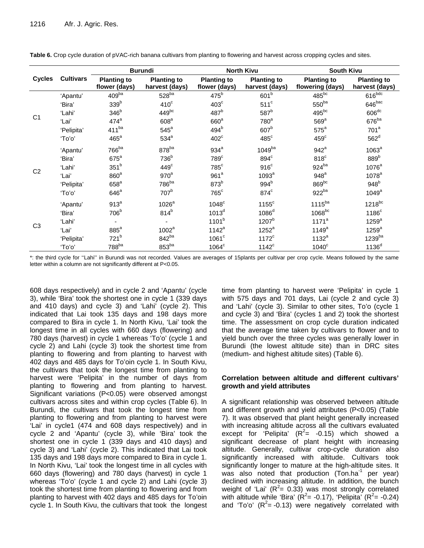|                |                  | <b>Burundi</b>                      |                                      |                                     | <b>North Kivu</b>                    | <b>South Kivu</b>                      |                                      |  |
|----------------|------------------|-------------------------------------|--------------------------------------|-------------------------------------|--------------------------------------|----------------------------------------|--------------------------------------|--|
| <b>Cycles</b>  | <b>Cultivars</b> | <b>Planting to</b><br>flower (days) | <b>Planting to</b><br>harvest (days) | <b>Planting to</b><br>flower (days) | <b>Planting to</b><br>harvest (days) | <b>Planting to</b><br>flowering (days) | <b>Planting to</b><br>harvest (days) |  |
|                | 'Apantu'         | 409 <sup>ba</sup>                   | $528^{ba}$                           | 475 <sup>b</sup>                    | 601 <sup>b</sup>                     | $485^{bc}$                             | $616^{bdc}$                          |  |
|                | 'Bira'           | 339 <sup>b</sup>                    | 410 <sup>c</sup>                     | $403^{\circ}$                       | $511^c$                              | $550^{ba}$                             | $646^{\text{bac}}$                   |  |
|                | 'Lahi'           | 346 <sup>b</sup>                    | 449bc                                | 487 <sup>b</sup>                    | 587 <sup>b</sup>                     | $495^{bc}$                             | $606\rm{^{dc}}$                      |  |
| C <sub>1</sub> | 'Lai'            | $474^a$                             | 608 <sup>a</sup>                     | 660 <sup>a</sup>                    | $780^a$                              | $569^a$                                | 676 <sup>ba</sup>                    |  |
|                | 'Pelipita'       | 411 <sup>ba</sup>                   | $545^{\circ}$                        | 494 <sup>b</sup>                    | 607 <sup>b</sup>                     | $575^a$                                | 701 <sup>a</sup>                     |  |
|                | 'To'o'           | $465^{\circ}$                       | $534^a$                              | $402^{\circ}$                       | $485^{\circ}$                        | $459^\circ$                            | $562^d$                              |  |
|                | 'Apantu'         | 766 <sup>ba</sup>                   | 878ba                                | $934^a$                             | 1049 <sup>ba</sup>                   | $942^a$                                | 1063 <sup>a</sup>                    |  |
|                | 'Bira'           | 675 <sup>a</sup>                    | 736 <sup>b</sup>                     | $789^\circ$                         | 894 <sup>c</sup>                     | $818^c$                                | 889 <sup>b</sup>                     |  |
|                | 'Lahi'           | 351 <sup>b</sup>                    | $449^\circ$                          | $785^{\circ}$                       | $916^c$                              | 924ba                                  | 1076 <sup>a</sup>                    |  |
| C <sub>2</sub> | 'Lai'            | 860 <sup>a</sup>                    | $970^a$                              | 961 <sup>a</sup>                    | 1093 <sup>a</sup>                    | $948^a$                                | $1078^a$                             |  |
|                | 'Pelipita'       | $658^a$                             | $786^{ba}$                           | 873 <sup>b</sup>                    | 994 <sup>b</sup>                     | $869^{bc}$                             | $948^b$                              |  |
|                | 'To'o'           | $646^a$                             | 707 <sup>b</sup>                     | $765^{\circ}$                       | 874 <sup>c</sup>                     | 922 <sup>ba</sup>                      | $1049^a$                             |  |
|                | 'Apantu'         | 913 <sup>a</sup>                    | $1026^a$                             | $1048^{\circ}$                      | $1155^c$                             | 1115 <sup>ba</sup>                     | $1218^{bc}$                          |  |
|                | 'Bira'           | 706 <sup>b</sup>                    | 814 <sup>b</sup>                     | 1013 <sup>d</sup>                   | 1086 <sup>d</sup>                    | $1068^{bc}$                            | $1186^c$                             |  |
|                | 'Lahi'           |                                     |                                      | 1101 <sup>b</sup>                   | $1207^{b}$                           | 1171 <sup>a</sup>                      | $1259^a$                             |  |
| C <sub>3</sub> | 'Lai'            | $885^a$                             | 1002 <sup>a</sup>                    | 1142 <sup>a</sup>                   | $1252^a$                             | 1149 <sup>a</sup>                      | $1259^a$                             |  |
|                | 'Pelipita'       | 721 <sup>b</sup>                    | $842^{ba}$                           | $1061^c$                            | $1172^c$                             | 1132 <sup>a</sup>                      | 1239ba                               |  |
|                | 'To'o'           | 788ba                               | 853 <sup>ba</sup>                    | $1064^c$                            | $1142^c$                             | $1040^{\circ}$                         | 1136 <sup>d</sup>                    |  |

**Table 6.** Crop cycle duration of pVAC-rich banana cultivars from planting to flowering and harvest across cropping cycles and sites.

\*: the third cycle for ''Lahi'' in Burundi was not recorded. Values are averages of 15plants per cultivar per crop cycle. Means followed by the same letter within a column are not significantly different at P<0.05.

608 days respectively) and in cycle 2 and 'Apantu' (cycle 3), while 'Bira' took the shortest one in cycle 1 (339 days and 410 days) and cycle 3) and 'Lahi' (cycle 2). This indicated that Lai took 135 days and 198 days more compared to Bira in cycle 1. In North Kivu, 'Lai' took the longest time in all cycles with 660 days (flowering) and 780 days (harvest) in cycle 1 whereas 'To'o' (cycle 1 and cycle 2) and Lahi (cycle 3) took the shortest time from planting to flowering and from planting to harvest with 402 days and 485 days for To'oin cycle 1. In South Kivu, the cultivars that took the longest time from planting to harvest were 'Pelipita' in the number of days from planting to flowering and from planting to harvest. Significant variations (P<0.05) were observed amongst cultivars across sites and within crop cycles (Table 6). In Burundi, the cultivars that took the longest time from planting to flowering and from planting to harvest were 'Lai' in cycle1 (474 and 608 days respectively) and in cycle 2 and 'Apantu' (cycle 3), while 'Bira' took the shortest one in cycle 1 (339 days and 410 days) and cycle 3) and 'Lahi' (cycle 2). This indicated that Lai took 135 days and 198 days more compared to Bira in cycle 1. In North Kivu, 'Lai' took the longest time in all cycles with 660 days (flowering) and 780 days (harvest) in cycle 1 whereas 'To'o' (cycle 1 and cycle 2) and Lahi (cycle 3) took the shortest time from planting to flowering and from planting to harvest with 402 days and 485 days for To'oin cycle 1. In South Kivu, the cultivars that took the longest

time from planting to harvest were 'Pelipita' in cycle 1 with 575 days and 701 days, Lai (cycle 2 and cycle 3) and 'Lahi' (cycle 3). Similar to other sites, To'o (cycle 1 and cycle 3) and 'Bira' (cycles 1 and 2) took the shortest time. The assessment on crop cycle duration indicated that the average time taken by cultivars to flower and to yield bunch over the three cycles was generally lower in Burundi (the lowest altitude site) than in DRC sites (medium- and highest altitude sites) (Table 6).

### **Correlation between altitude and different cultivars' growth and yield attributes**

A significant relationship was observed between altitude and different growth and yield attributes (P<0.05) (Table 7). It was observed that plant height generally increased with increasing altitude across all the cultivars evaluated except for 'Pelipita'  $(R^2 = -0.15)$  which showed a significant decrease of plant height with increasing altitude. Generally, cultivar crop-cycle duration also significantly increased with altitude. Cultivars took significantly longer to mature at the high-altitude sites. It was also noted that production (Ton.ha<sup>-1</sup> per year) declined with increasing altitude. In addition, the bunch weight of 'Lai'  $(R^2 = 0.33)$  was most strongly correlated with altitude while 'Bira' ( $R^2$  = -0.17), 'Pelipita' ( $R^2$  = -0.24) and 'To'o'  $(R^2 = -0.13)$  were negatively correlated with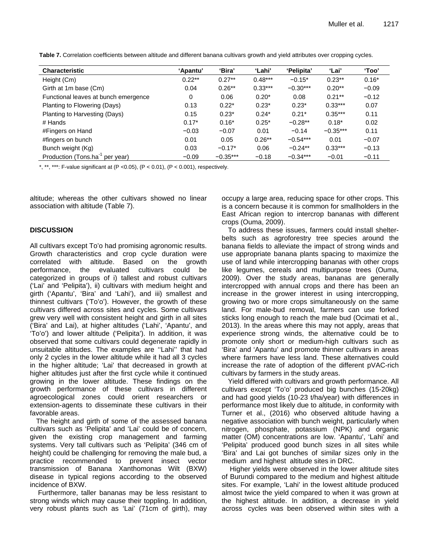| <b>Characteristic</b>                       | 'Apantu'  | 'Bira'     | ʻLahi'    | 'Pelipita' | 'Lai'      | 'Too'   |
|---------------------------------------------|-----------|------------|-----------|------------|------------|---------|
| Height (Cm)                                 | $0.22***$ | $0.27**$   | $0.48***$ | $-0.15*$   | $0.23**$   | $0.16*$ |
| Girth at 1m base (Cm)                       | 0.04      | $0.26**$   | $0.33***$ | $-0.30***$ | $0.20**$   | $-0.09$ |
| Functional leaves at bunch emergence        | 0         | 0.06       | $0.20*$   | 0.08       | $0.21***$  | $-0.12$ |
| Planting to Flowering (Days)                | 0.13      | $0.22*$    | $0.23*$   | $0.23*$    | $0.33***$  | 0.07    |
| Planting to Harvesting (Days)               | 0.15      | $0.23*$    | $0.24*$   | $0.21*$    | $0.35***$  | 0.11    |
| # Hands                                     | $0.17*$   | $0.16*$    | $0.25*$   | $-0.28**$  | $0.18*$    | 0.02    |
| #Fingers on Hand                            | $-0.03$   | $-0.07$    | 0.01      | $-0.14$    | $-0.35***$ | 0.11    |
| #fingers on bunch                           | 0.01      | 0.05       | $0.26**$  | $-0.54***$ | 0.01       | $-0.07$ |
| Bunch weight (Kg)                           | 0.03      | $-0.17*$   | 0.06      | $-0.24**$  | $0.33***$  | $-0.13$ |
| Production (Tons.ha <sup>-1</sup> per year) | $-0.09$   | $-0.35***$ | $-0.18$   | $-0.34***$ | $-0.01$    | $-0.11$ |

**Table 7.** Correlation coefficients between altitude and different banana cultivars growth and yield attributes over cropping cycles.

\*, \*\*, \*\*\*: F-value significant at (P < 0.05), (P < 0.01), (P < 0.001), respectively.

altitude; whereas the other cultivars showed no linear association with altitude (Table 7).

# **DISCUSSION**

All cultivars except To'o had promising agronomic results. Growth characteristics and crop cycle duration were correlated with altitude. Based on the growth performance, the evaluated cultivars could be categorized in groups of i) tallest and robust cultivars ('Lai' and 'Pelipita'), ii) cultivars with medium height and girth ('Apantu', 'Bira' and 'Lahi'), and iii) smallest and thinnest cultivars ('To'o'). However, the growth of these cultivars differed across sites and cycles. Some cultivars grew very well with consistent height and girth in all sites ('Bira' and Lai), at higher altitudes ('Lahi', 'Apantu', and 'To'o') and lower altitude ('Pelipita'). In addition, it was observed that some cultivars could degenerate rapidly in unsuitable altitudes. The examples are ''Lahi'' that had only 2 cycles in the lower altitude while it had all 3 cycles in the higher altitude; 'Lai' that decreased in growth at higher altitudes just after the first cycle while it continued growing in the lower altitude. These findings on the growth performance of these cultivars in different agroecological zones could orient researchers or extension-agents to disseminate these cultivars in their favorable areas.

The height and girth of some of the assessed banana cultivars such as 'Pelipita' and 'Lai' could be of concern, given the existing crop management and farming systems. Very tall cultivars such as 'Pelipita' (346 cm of height) could be challenging for removing the male bud, a practice recommended to prevent insect vector transmission of Banana Xanthomonas Wilt (BXW) disease in typical regions according to the observed incidence of BXW.

Furthermore, taller bananas may be less resistant to strong winds which may cause their toppling. In addition, very robust plants such as 'Lai' (71cm of girth), may occupy a large area, reducing space for other crops. This is a concern because it is common for smallholders in the East African region to intercrop bananas with different crops (Ouma, 2009).

To address these issues, farmers could install shelterbelts such as agroforestry tree species around the banana fields to alleviate the impact of strong winds and use appropriate banana plants spacing to maximize the use of land while intercropping bananas with other crops like legumes, cereals and multipurpose trees (Ouma, 2009). Over the study areas, bananas are generally intercropped with annual crops and there has been an increase in the grower interest in using intercropping, growing two or more crops simultaneously on the same land. For male-bud removal, farmers can use forked sticks long enough to reach the male bud (Ocimati et al., 2013). In the areas where this may not apply, areas that experience strong winds, the alternative could be to promote only short or medium-high cultivars such as 'Bira' and 'Apantu' and promote thinner cultivars in areas where farmers have less land. These alternatives could increase the rate of adoption of the different pVAC-rich cultivars by farmers in the study areas.

Yield differed with cultivars and growth performance. All cultivars except 'To'o' produced big bunches (15-20kg) and had good yields (10-23 t/ha/year) with differences in performance most likely due to altitude, in conformity with Turner et al., (2016) who observed altitude having a negative association with bunch weight, particularly when nitrogen, phosphate, potassium (NPK) and organic matter (OM) concentrations are low. 'Apantu', 'Lahi' and 'Pelipita' produced good bunch sizes in all sites while 'Bira' and Lai got bunches of similar sizes only in the medium and highest altitude sites in DRC.

Higher yields were observed in the lower altitude sites of Burundi compared to the medium and highest altitude sites. For example, 'Lahi' in the lowest altitude produced almost twice the yield compared to when it was grown at the highest altitude. In addition, a decrease in yield across cycles was been observed within sites with a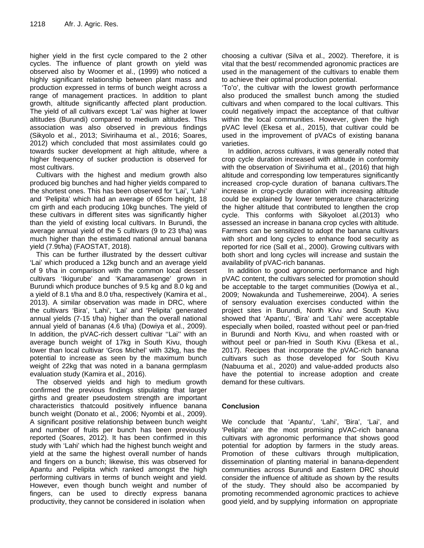higher yield in the first cycle compared to the 2 other cycles. The influence of plant growth on yield was observed also by Woomer et al., (1999) who noticed a highly significant relationship between plant mass and production expressed in terms of bunch weight across a range of management practices. In addition to plant growth, altitude significantly affected plant production. The yield of all cultivars except 'Lai' was higher at lower altitudes (Burundi) compared to medium altitudes. This association was also observed in previous findings (Sikyolo et al., 2013; Sivirihauma et al., 2016; Soares, 2012) which concluded that most assimilates could go towards sucker development at high altitude, where a higher frequency of sucker production is observed for most cultivars.

Cultivars with the highest and medium growth also produced big bunches and had higher yields compared to the shortest ones. This has been observed for 'Lai', 'Lahi' and 'Pelipita' which had an average of 65cm height, 18 cm girth and each producing 10kg bunches. The yield of these cultivars in different sites was significantly higher than the yield of existing local cultivars. In Burundi, the average annual yield of the 5 cultivars (9 to 23 t/ha) was much higher than the estimated national annual banana yield (7.9t/ha) (FAOSTAT, 2018).

This can be further illustrated by the dessert cultivar 'Lai' which produced a 12kg bunch and an average yield of 9 t/ha in comparison with the common local dessert cultivars 'Ikigurube' and 'Kamaramasenge' grown in Burundi which produce bunches of 9.5 kg and 8.0 kg and a yield of 8.1 t/ha and 8.0 t/ha, respectively (Kamira et al., 2013). A similar observation was made in DRC, where the cultivars 'Bira', 'Lahi', 'Lai' and 'Pelipita' generated annual yields (7-15 t/ha) higher than the overall national annual yield of bananas (4.6 t/ha) (Dowiya et al., 2009). In addition, the pVAC-rich dessert cultivar ''Lai'' with an average bunch weight of 17kg in South Kivu, though lower than local cultivar 'Gros Michel' with 32kg, has the potential to increase as seen by the maximum bunch weight of 22kg that was noted in a banana germplasm evaluation study (Kamira et al., 2016).

The observed yields and high to medium growth confirmed the previous findings stipulating that larger girths and greater pseudostem strength are important characteristics thatcould positively influence banana bunch weight (Donato et al., 2006; Nyombi et al., 2009). A significant positive relationship between bunch weight and number of fruits per bunch has been previously reported (Soares, 2012). It has been confirmed in this study with 'Lahi' which had the highest bunch weight and yield at the same the highest overall number of hands and fingers on a bunch; likewise, this was observed for Apantu and Pelipita which ranked amongst the high performing cultivars in terms of bunch weight and yield. However, even though bunch weight and number of fingers, can be used to directly express banana productivity, they cannot be considered in isolation when

choosing a cultivar (Silva et al., 2002). Therefore, it is vital that the best/ recommended agronomic practices are used in the management of the cultivars to enable them to achieve their optimal production potential.

'To'o', the cultivar with the lowest growth performance also produced the smallest bunch among the studied cultivars and when compared to the local cultivars. This could negatively impact the acceptance of that cultivar within the local communities. However, given the high pVAC level (Ekesa et al., 2015), that cultivar could be used in the improvement of pVACs of existing banana varieties.

In addition, across cultivars, it was generally noted that crop cycle duration increased with altitude in conformity with the observation of Sivirihuma et al., (2016) that high altitude and corresponding low temperatures significantly increased crop-cycle duration of banana cultivars.The increase in crop-cycle duration with increasing altitude could be explained by lower temperature characterizing the higher altitude that contributed to lengthen the crop cycle. This conforms with Sikyoloet al.(2013) who assessed an increase in banana crop cycles with altitude. Farmers can be sensitized to adopt the banana cultivars with short and long cycles to enhance food security as reported for rice (Sall et al., 2000). Growing cultivars with both short and long cycles will increase and sustain the availability of pVAC-rich bananas.

In addition to good agronomic performance and high pVAC content, the cultivars selected for promotion should be acceptable to the target communities (Dowiya et al., 2009; Nowakunda and Tushemereirwe, 2004). A series of sensory evaluation exercises conducted within the project sites in Burundi, North Kivu and South Kivu showed that 'Apantu', 'Bira' and 'Lahi' were acceptable especially when boiled, roasted without peel or pan-fried in Burundi and North Kivu, and when roasted with or without peel or pan-fried in South Kivu (Ekesa et al., 2017). Recipes that incorporate the pVAC-rich banana cultivars such as those developed for South Kivu (Nabuuma et al., 2020) and value-added products also have the potential to increase adoption and create demand for these cultivars.

# **Conclusion**

We conclude that 'Apantu', 'Lahi', 'Bira', 'Lai', and 'Pelipita' are the most promising pVAC-rich banana cultivars with agronomic performance that shows good potential for adoption by farmers in the study areas. Promotion of these cultivars through multiplication, dissemination of planting material in banana-dependent communities across Burundi and Eastern DRC should consider the influence of altitude as shown by the results of the study. They should also be accompanied by promoting recommended agronomic practices to achieve good yield, and by supplying information on appropriate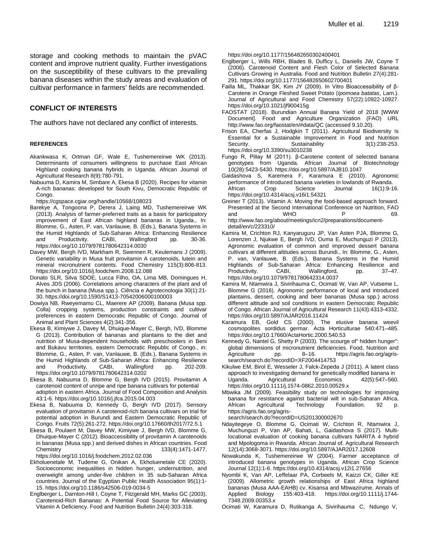storage and cooking methods to maintain the pVAC content and improve nutrient quality. Further investigations on the susceptibility of these cultivars to the prevailing banana diseases within the study areas and evaluation of cultivar performance in farmers' fields are recommended.

#### **CONFLICT OF INTERESTS**

The authors have not declared any conflict of interests.

#### **REFERENCES**

- Akankwasa K, Ortman GF, Wale E, Tushemereirwe WK (2013). Determinants of consumers willingness to purchase East African Highland cooking banana hybrids in Uganda. African Journal of Agricultural Research 8(9):780-791.
- Nabuuma D, Kamira M, Simbare A, Ekesa B (2020). Recipes for vitamin A-rich bananas: developed for South Kivu, Democratic Republic of Congo.

<https://cgspace.cgiar.org/handle/10568/108023>

- Barekye A, Tongoona P, Derera J, Laing MD, Tushemereirwe WK (2013). Analysis of farmer-preferred traits as a basis for participatory improvement of East African highland bananas in Uganda., In: Blomme, G., Asten, P. van, Vanlauwe, B. (Eds.), Banana Systems in the Humid Highlands of Sub-Saharan Africa: Enhancing Resilience<br>and Productivity. CABI, Wallingford pp. 30-36. Productivity. CABI, Wallingford pp. <https://doi.org/10.1079/9781780642314.0030>
- Davey MW, Bergh IVD, Markham R, Swennen R, Keulemans J (2009). Genetic variability in Musa fruit provitamin A carotenoids, lutein and mineral micronutrient contents. Food Chemistry 115(3):806-813. https://doi.org/10.1016/j.foodchem.2008.12.088
- Donato SLR, Silva SDOE, Lucca Filho, OA, Lima MB, Domingues H, Alves JDS (2006). Correlations among characters of the plant and of the bunch in banana (Musa spp.). Ciência e Agrotecnologia 30(1):21- 30[. https://doi.org/10.1590/S1413-70542006000100003](https://doi.org/10.1590/S1413-70542006000100003)
- Dowiya NB, Rweyemamu CL, Maerere AP (2009). Banana (Musa spp. Colla) cropping systems, production constraints and cultivar preferences in eastern Democratic Republic of Congo. Journal of Animal and Plant Sciences 4(2):341-356.
- Ekesa B, Kimiywe J, Davey M, Dhuique-Mayer C, Bergh, IVD, Blomme G (2013). Contribution of bananas and plantains to the diet and nutrition of Musa-dependent households with preschoolers in Beni and Bukavu territories, eastern Democratic Republic of Congo., in: Blomme, G., Asten, P. van, Vanlauwe, B. (Eds.), Banana Systems in the Humid Highlands of Sub-Saharan Africa: Enhancing Resilience and Productivity. CABI, Wallingford pp. 202-209. <https://doi.org/10.1079/9781780642314.0202>
- Ekesa B, Nabuuma D, Blomme G, Bergh IVD (2015). Provitamin A carotenoid content of unripe and ripe banana cultivars for potential adoption in eastern Africa. Journal of Food Composition and Analysis 43:1-6[. https://doi.org/10.1016/j.jfca.2015.04.003](https://doi.org/10.1016/j.jfca.2015.04.003)
- Ekesa B, Nabuuma D, Kennedy G, Bergh IVD (2017). Sensory evaluation of provitamin A carotenoid-rich banana cultivars on trial for potential adoption in Burundi and Eastern Democratic Republic of Congo. Fruits 72(5):261-272.<https://doi.org/10.17660/th2017/72.5.1>
- Ekesa B, Poulaert M, Davey MW, Kimiywe J, Bergh IVD, Blomme G, Dhuique-Mayer C (2012). Bioaccessibility of provitamin A carotenoids in bananas (Musa spp.) and derived dishes in African countries. Food Chemistry 133(4):1471-1477. <https://doi.org/10.1016/j.foodchem.2012.02.036>

Ekholuenetale M, Tudeme G, Onikan A, Ekholuenetale CE (2020). Socioeconomic inequalities in hidden hunger, undernutrition, and overweight among under-five children in 35 sub-Saharan Africa countries. Journal of the Egyptian Public Health Association 95(1):1- 15[. https://doi.org/10.1186/s42506-019-0034-5](https://doi.org/10.1186/s42506-019-0034-5)

Englberger L, Darnton-Hill I, Coyne T, Fitzgerald MH, Marks GC (2003). Carotenoid-Rich Bananas: A Potential Food Source for Alleviating Vitamin A Deficiency. Food and Nutrition Bulletin 24(4):303-318.

<https://doi.org/10.1177/156482650302400401>

- Englberger L, Wills RBH, Blades B, Dufficy L, Daniells JW, Coyne T (2006). Carotenoid Content and Flesh Color of Selected Banana Cultivars Growing in Australia. Food and Nutrition Bulletin 27(4):281- 291.<https://doi.org/10.1177/156482650602700401>
- Failla ML, Thakkar SK, Kim JY (2009). In Vitro Bioaccessibility of β-Carotene in Orange Fleshed Sweet Potato (*Ipomoea batatas*, Lam.). Journal of Agricultural and Food Chemistry 57(22):10922-10927. <https://doi.org/10.1021/jf900415g>
- FAOSTAT (2018). Burundian Annual Banana Yield of 2018 [WWW Document]. Food and Agriculture Organization (FAO) URL <http://www.fao.org/faostat/en/#data/QC> (accessed 9.10.20).
- Frison EA, Cherfas J, Hodgkin T (2011). Agricultural Biodiversity Is Essential for a Sustainable Improvement in Food and Nutrition<br>Sustainability 3(1):238-253. Security. Sustainability <https://doi.org/10.3390/su3010238>
- Fungo R, Pillay M (2011). β-Carotene content of selected banana genotypes from Uganda. African Journal of Biotechnology 10(28):5423-5430[. https://doi.org/10.5897/AJB10.1047](https://doi.org/10.5897/AJB10.1047)
- Gaidashova S, Karemera F, Karamura E (2010). Agronomic performance of introduced banana varieties in lowlands of Rwanda. African Crop Science Journal 16(1):9-16. <https://doi.org/10.4314/acsj.v16i1.54321>
- Greiner T (2013). Vitamin A: Moving the food-based approach forward. Presented at the Second International Conference on Nutrition, FAO<br>69. WHO P and MHO P 69. [http://www.fao.org/about/meetings/icn2/preparations/document](http://www.fao.org/about/meetings/icn2/preparations/document-detail/en/c/223310/)[detail/en/c/223310/](http://www.fao.org/about/meetings/icn2/preparations/document-detail/en/c/223310/)
- Kamira M, Crichton RJ, Kanyaruguru JP, Van Asten PJA, Blomme G, Lorenzen J, Njukwe E, Bergh IVD, Ouma E, Muchunguzi P (2013). Agronomic evaluation of common and improved dessert banana cultivars at different altitudes across Burundi., In: Blomme, G., Asten, P. van, Vanlauwe, B. (Eds.), Banana Systems in the Humid Highlands of Sub-Saharan Africa: Enhancing Resilience and Productivity. CABI, Wallingford, pp. 37-47. <https://doi.org/10.1079/9781780642314.0037>
- Kamira M, Ntamwira J, Sivirihauma C, Ocimati W, Van AP, Vutseme L, Blomme G (2016). Agronomic performance of local and introduced plantains, dessert, cooking and beer bananas (Musa spp.) across different altitude and soil conditions in eastern Democratic Republic of Congo. African Journal of Agricultural Research 11(43):4313-4332. <https://doi.org/10.5897/AJAR2016.11424>
- Karamura EB, Gold CS (2000). The elusive banana weevil cosmopolites sordidus germar. Acta Horticulturae 540:471–485. <https://doi.org/10.17660/ActaHortic.2000.540.53>
- Kennedy G, Nantel G, Shetty P (2003). The scourge of" hidden hunger": global dimensions of micronutrient deficiencies. Food, Nutrition and<br>Agriculture pp. 8–16. https://agris.fao.org/agrispp. 8–16. [https://agris.fao.org/agris](https://agris.fao.org/agris-search/search.do?recordID=XF2004414753)[search/search.do?recordID=XF2004414753](https://agris.fao.org/agris-search/search.do?recordID=XF2004414753)
- Kikulwe EM, Birol E, Wesseler J, Falck-Zepeda J (2011). A latent class approach to investigating demand for genetically modified banana in Uganda. Agricultural Economics 42(5):547–560. <https://doi.org/10.1111/j.1574-0862.2010.00529.x>
- Mbwika JM (2009). Feasibility study on technologies for improving banana for resistance against bacterial wilt in sub-Saharan Africa. African Agricultural Technology Foundation. 92 p. [https://agris.fao.org/agris-](https://agris.fao.org/agris-search/search.do?recordID=US201300002670)

[search/search.do?recordID=US201300002670](https://agris.fao.org/agris-search/search.do?recordID=US201300002670)

- Ndayitegeye O, Blomme G, Ocimati W, Crichton R, Ntamwira J, Muchunguzi P, Van AP, Bahati, L, Gaidashova S (2017). Multilocational evaluation of cooking banana cultivars NARITA 4 hybrid and Mpologoma in Rwanda. African Journal of. Agricultural Research 12(14):3068-3071. <https://doi.org/10.5897/AJAR2017.12608>
- Nowakunda K, Tushemereirwe W (2004). Farmer acceptance of introduced banana genotypes in Uganda. African Crop Science Journal 12(1):1-6.<https://doi.org/10.4314/acsj.v12i1.27656>
- Nyombi K, Van AP, Leffelaar PA, Corbeels M, Kaizzi CK, Giller KE (2009). Allometric growth relationships of East Africa highland bananas (Musa AAA-EAHB) cv. Kisansa and Mbwazirume. Annals of Applied Biology 155:403-418. [https://doi.org/10.1111/j.1744-](https://doi.org/10.1111/j.1744-7348.2009.00353.x) [7348.2009.00353.x](https://doi.org/10.1111/j.1744-7348.2009.00353.x)
- Ocimati W, Karamura D, Rutikanga A, Sivirihauma C, Ndungo V,